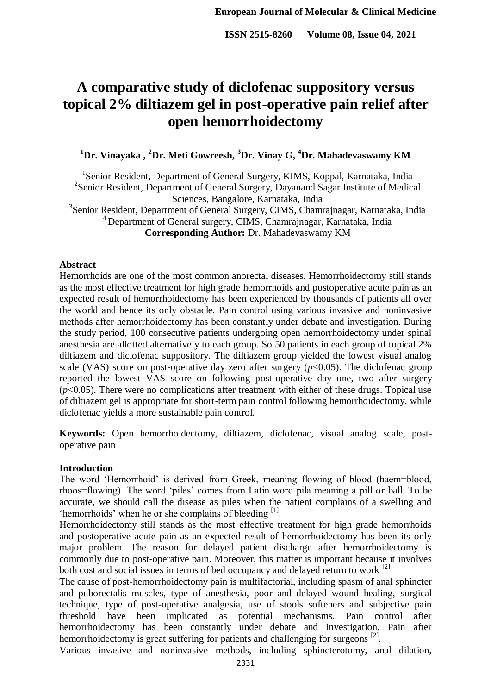# **A comparative study of diclofenac suppository versus topical 2% diltiazem gel in post-operative pain relief after open hemorrhoidectomy**

**<sup>1</sup>Dr. Vinayaka , <sup>2</sup>Dr. Meti Gowreesh, <sup>3</sup>Dr. Vinay G, <sup>4</sup>Dr. Mahadevaswamy KM**

<sup>1</sup>Senior Resident, Department of General Surgery, KIMS, Koppal, Karnataka, India <sup>2</sup> Senior Resident, Department of General Surgery, Dayanand Sagar Institute of Medical Sciences, Bangalore, Karnataka, India <sup>3</sup> Senior Resident, Department of General Surgery, CIMS, Chamrajnagar, Karnataka, India <sup>4</sup> Department of General surgery, CIMS, Chamrainagar, Karnataka, India **Corresponding Author:** Dr. Mahadevaswamy KM

#### **Abstract**

Hemorrhoids are one of the most common anorectal diseases. Hemorrhoidectomy still stands as the most effective treatment for high grade hemorrhoids and postoperative acute pain as an expected result of hemorrhoidectomy has been experienced by thousands of patients all over the world and hence its only obstacle. Pain control using various invasive and noninvasive methods after hemorrhoidectomy has been constantly under debate and investigation. During the study period, 100 consecutive patients undergoing open hemorrhoidectomy under spinal anesthesia are allotted alternatively to each group. So 50 patients in each group of topical 2% diltiazem and diclofenac suppository. The diltiazem group yielded the lowest visual analog scale (VAS) score on post-operative day zero after surgery  $(p<0.05)$ . The diclofenac group reported the lowest VAS score on following post-operative day one, two after surgery  $(p<0.05)$ . There were no complications after treatment with either of these drugs. Topical use of diltiazem gel is appropriate for short-term pain control following hemorrhoidectomy, while diclofenac yields a more sustainable pain control.

**Keywords:** Open hemorrhoidectomy, diltiazem, diclofenac, visual analog scale, postoperative pain

## **Introduction**

The word 'Hemorrhoid' is derived from Greek, meaning flowing of blood (haem=blood, rhoos=flowing). The word 'piles' comes from Latin word pila meaning a pill or ball. To be accurate, we should call the disease as piles when the patient complains of a swelling and 'hemorrhoids' when he or she complains of bleeding [1].

Hemorrhoidectomy still stands as the most effective treatment for high grade hemorrhoids and postoperative acute pain as an expected result of hemorrhoidectomy has been its only major problem. The reason for delayed patient discharge after hemorrhoidectomy is commonly due to post-operative pain. Moreover, this matter is important because it involves both cost and social issues in terms of bed occupancy and delayed return to work <sup>[2]</sup>

The cause of post-hemorrhoidectomy pain is multifactorial, including spasm of anal sphincter and puborectalis muscles, type of anesthesia, poor and delayed wound healing, surgical technique, type of post-operative analgesia, use of stools softeners and subjective pain threshold have been implicated as potential mechanisms. Pain control after hemorrhoidectomy has been constantly under debate and investigation. Pain after hemorrhoidectomy is great suffering for patients and challenging for surgeons <sup>[2]</sup>.

Various invasive and noninvasive methods, including sphincterotomy, anal dilation,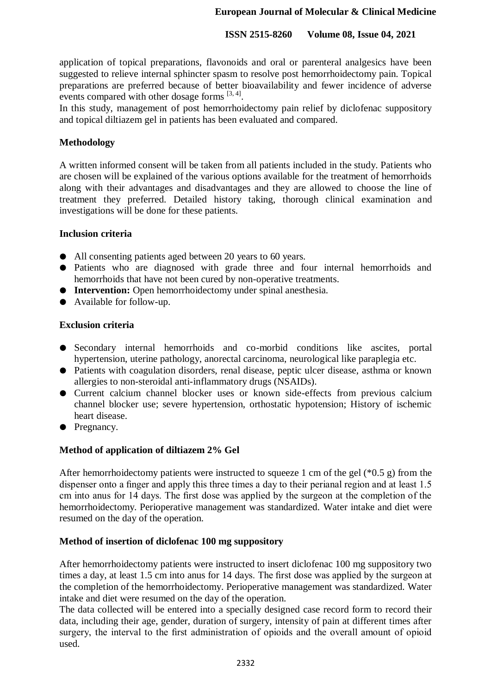## **European Journal of Molecular & Clinical Medicine**

## **ISSN 2515-8260 Volume 08, Issue 04, 2021**

application of topical preparations, flavonoids and oral or parenteral analgesics have been suggested to relieve internal sphincter spasm to resolve post hemorrhoidectomy pain. Topical preparations are preferred because of better bioavailability and fewer incidence of adverse events compared with other dosage forms  $[3, 4]$ .

In this study, management of post hemorrhoidectomy pain relief by diclofenac suppository and topical diltiazem gel in patients has been evaluated and compared.

## **Methodology**

A written informed consent will be taken from all patients included in the study. Patients who are chosen will be explained of the various options available for the treatment of hemorrhoids along with their advantages and disadvantages and they are allowed to choose the line of treatment they preferred. Detailed history taking, thorough clinical examination and investigations will be done for these patients.

## **Inclusion criteria**

- All consenting patients aged between 20 years to 60 years.
- Patients who are diagnosed with grade three and four internal hemorrhoids and hemorrhoids that have not been cured by non-operative treatments.
- **Intervention:** Open hemorrhoidectomy under spinal anesthesia.
- Available for follow-up.

## **Exclusion criteria**

- Secondary internal hemorrhoids and co-morbid conditions like ascites, portal hypertension, uterine pathology, anorectal carcinoma, neurological like paraplegia etc.
- Patients with coagulation disorders, renal disease, peptic ulcer disease, asthma or known allergies to non-steroidal anti-inflammatory drugs (NSAIDs).
- Current calcium channel blocker uses or known side-effects from previous calcium channel blocker use; severe hypertension, orthostatic hypotension; History of ischemic heart disease.
- Pregnancy.

# **Method of application of diltiazem 2% Gel**

After hemorrhoidectomy patients were instructed to squeeze 1 cm of the gel (\*0.5 g) from the dispenser onto a finger and apply this three times a day to their perianal region and at least 1.5 cm into anus for 14 days. The first dose was applied by the surgeon at the completion of the hemorrhoidectomy. Perioperative management was standardized. Water intake and diet were resumed on the day of the operation.

## **Method of insertion of diclofenac 100 mg suppository**

After hemorrhoidectomy patients were instructed to insert diclofenac 100 mg suppository two times a day, at least 1.5 cm into anus for 14 days. The first dose was applied by the surgeon at the completion of the hemorrhoidectomy. Perioperative management was standardized. Water intake and diet were resumed on the day of the operation.

The data collected will be entered into a specially designed case record form to record their data, including their age, gender, duration of surgery, intensity of pain at different times after surgery, the interval to the first administration of opioids and the overall amount of opioid used.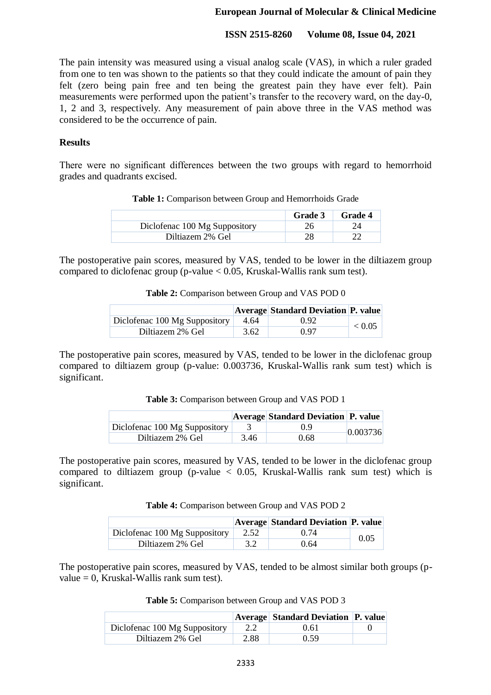The pain intensity was measured using a visual analog scale (VAS), in which a ruler graded from one to ten was shown to the patients so that they could indicate the amount of pain they felt (zero being pain free and ten being the greatest pain they have ever felt). Pain measurements were performed upon the patient's transfer to the recovery ward, on the day-0, 1, 2 and 3, respectively. Any measurement of pain above three in the VAS method was considered to be the occurrence of pain.

## **Results**

There were no significant differences between the two groups with regard to hemorrhoid grades and quadrants excised.

| Table 1: Comparison between Group and Hemorrhoids Grade |
|---------------------------------------------------------|
|---------------------------------------------------------|

|                               | <b>Grade 3</b> | <b>Grade 4</b> |
|-------------------------------|----------------|----------------|
| Diclofenac 100 Mg Suppository |                |                |
| Diltiazem 2% Gel              |                |                |

The postoperative pain scores, measured by VAS, tended to be lower in the diltiazem group compared to diclofenac group (p-value  $< 0.05$ , Kruskal-Wallis rank sum test).

**Table 2:** Comparison between Group and VAS POD 0

|                               |      | <b>Average Standard Deviation P. value</b> |            |
|-------------------------------|------|--------------------------------------------|------------|
| Diclofenac 100 Mg Suppository | 4.64 | 0.92                                       | ${}< 0.05$ |
| Diltiazem 2% Gel              | 3.62 | 0.97                                       |            |

The postoperative pain scores, measured by VAS, tended to be lower in the diclofenac group compared to diltiazem group (p-value: 0.003736, Kruskal-Wallis rank sum test) which is significant.

**Table 3:** Comparison between Group and VAS POD 1

|                               |      | <b>Average Standard Deviation P. value</b> |          |
|-------------------------------|------|--------------------------------------------|----------|
| Diclofenac 100 Mg Suppository |      | ()9                                        | 0.003736 |
| Diltiazem 2% Gel              | 3.46 | 0.68                                       |          |

The postoperative pain scores, measured by VAS, tended to be lower in the diclofenac group compared to diltiazem group (p-value  $\langle 0.05,$  Kruskal-Wallis rank sum test) which is significant.

|  | Table 4: Comparison between Group and VAS POD 2 |
|--|-------------------------------------------------|
|--|-------------------------------------------------|

|                               |      | <b>Average Standard Deviation P. value</b> |      |
|-------------------------------|------|--------------------------------------------|------|
| Diclofenac 100 Mg Suppository | 2.52 | (174)                                      | 0.05 |
| Diltiazem 2% Gel              |      | 0.64                                       |      |

The postoperative pain scores, measured by VAS, tended to be almost similar both groups (pvalue  $= 0$ , Kruskal-Wallis rank sum test).

| Table 5: Comparison between Group and VAS POD 3 |  |  |
|-------------------------------------------------|--|--|
|-------------------------------------------------|--|--|

|                               |      | <b>Average Standard Deviation P. value</b> |  |
|-------------------------------|------|--------------------------------------------|--|
| Diclofenac 100 Mg Suppository | 2.2  | 0.61                                       |  |
| Diltiazem 2% Gel              | 2.88 | 0.59                                       |  |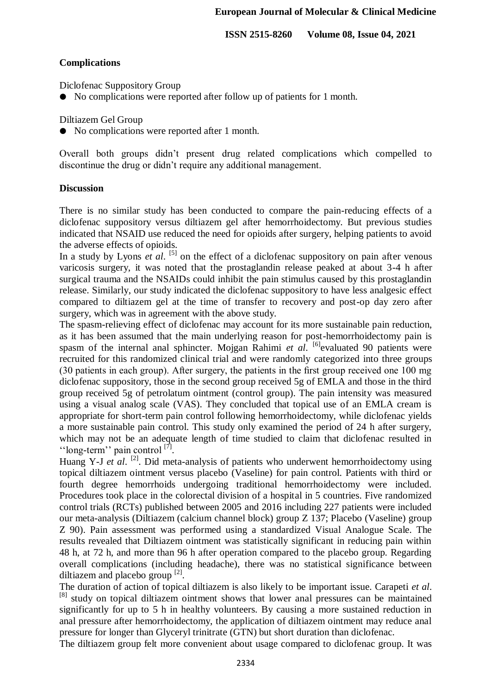#### **Complications**

Diclofenac Suppository Group

● No complications were reported after follow up of patients for 1 month.

Diltiazem Gel Group

● No complications were reported after 1 month.

Overall both groups didn't present drug related complications which compelled to discontinue the drug or didn't require any additional management.

#### **Discussion**

There is no similar study has been conducted to compare the pain-reducing effects of a diclofenac suppository versus diltiazem gel after hemorrhoidectomy. But previous studies indicated that NSAID use reduced the need for opioids after surgery, helping patients to avoid the adverse effects of opioids.

In a study by Lyons  $e\bar{t}$  al.  $^{[5]}$  on the effect of a diclofenac suppository on pain after venous varicosis surgery, it was noted that the prostaglandin release peaked at about 3-4 h after surgical trauma and the NSAIDs could inhibit the pain stimulus caused by this prostaglandin release. Similarly, our study indicated the diclofenac suppository to have less analgesic effect compared to diltiazem gel at the time of transfer to recovery and post-op day zero after surgery, which was in agreement with the above study.

The spasm-relieving effect of diclofenac may account for its more sustainable pain reduction, as it has been assumed that the main underlying reason for post-hemorrhoidectomy pain is spasm of the internal anal sphincter. Mojgan Rahimi *et al.* <sup>[6]</sup>evaluated 90 patients were recruited for this randomized clinical trial and were randomly categorized into three groups (30 patients in each group). After surgery, the patients in the first group received one 100 mg diclofenac suppository, those in the second group received 5g of EMLA and those in the third group received 5g of petrolatum ointment (control group). The pain intensity was measured using a visual analog scale (VAS). They concluded that topical use of an EMLA cream is appropriate for short-term pain control following hemorrhoidectomy, while diclofenac yields a more sustainable pain control. This study only examined the period of 24 h after surgery, which may not be an adequate length of time studied to claim that diclofenac resulted in "long-term" pain control  $[7]$ .

Huang Y-J *et al.* <sup>[2]</sup>. Did meta-analysis of patients who underwent hemorrhoidectomy using topical diltiazem ointment versus placebo (Vaseline) for pain control. Patients with third or fourth degree hemorrhoids undergoing traditional hemorrhoidectomy were included. Procedures took place in the colorectal division of a hospital in 5 countries. Five randomized control trials (RCTs) published between 2005 and 2016 including 227 patients were included our meta-analysis (Diltiazem (calcium channel block) group Z 137; Placebo (Vaseline) group Z 90). Pain assessment was performed using a standardized Visual Analogue Scale. The results revealed that Diltiazem ointment was statistically significant in reducing pain within 48 h, at 72 h, and more than 96 h after operation compared to the placebo group. Regarding overall complications (including headache), there was no statistical significance between diltiazem and placebo group  $^{[2]}$ .

The duration of action of topical diltiazem is also likely to be important issue. Carapeti *et al*. <sup>[8]</sup> study on topical diltiazem ointment shows that lower anal pressures can be maintained significantly for up to 5 h in healthy volunteers. By causing a more sustained reduction in anal pressure after hemorrhoidectomy, the application of diltiazem ointment may reduce anal pressure for longer than Glyceryl trinitrate (GTN) but short duration than diclofenac.

The diltiazem group felt more convenient about usage compared to diclofenac group. It was